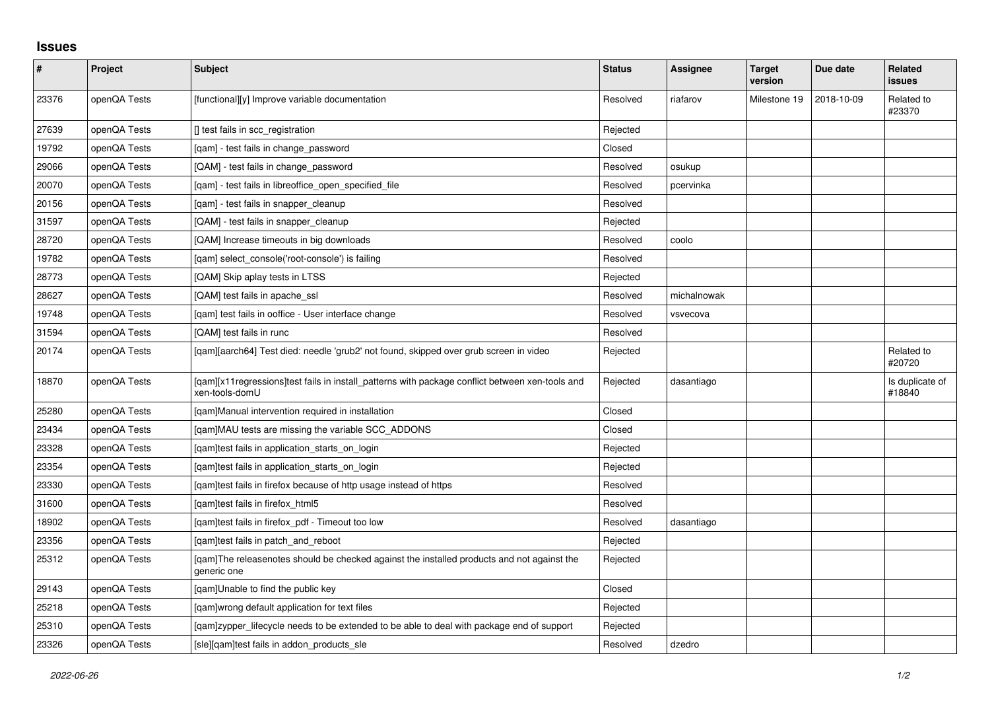## **Issues**

| $\pmb{\#}$ | Project      | <b>Subject</b>                                                                                                    | <b>Status</b> | Assignee    | <b>Target</b><br>version | Due date   | Related<br>issues         |
|------------|--------------|-------------------------------------------------------------------------------------------------------------------|---------------|-------------|--------------------------|------------|---------------------------|
| 23376      | openQA Tests | [functional][y] Improve variable documentation                                                                    | Resolved      | riafarov    | Milestone 19             | 2018-10-09 | Related to<br>#23370      |
| 27639      | openQA Tests | [] test fails in scc registration                                                                                 | Rejected      |             |                          |            |                           |
| 19792      | openQA Tests | [gam] - test fails in change password                                                                             | Closed        |             |                          |            |                           |
| 29066      | openQA Tests | [QAM] - test fails in change_password                                                                             | Resolved      | osukup      |                          |            |                           |
| 20070      | openQA Tests | [qam] - test fails in libreoffice_open_specified_file                                                             | Resolved      | pcervinka   |                          |            |                           |
| 20156      | openQA Tests | [qam] - test fails in snapper_cleanup                                                                             | Resolved      |             |                          |            |                           |
| 31597      | openQA Tests | [QAM] - test fails in snapper_cleanup                                                                             | Rejected      |             |                          |            |                           |
| 28720      | openQA Tests | [QAM] Increase timeouts in big downloads                                                                          | Resolved      | coolo       |                          |            |                           |
| 19782      | openQA Tests | [gam] select console('root-console') is failing                                                                   | Resolved      |             |                          |            |                           |
| 28773      | openQA Tests | [QAM] Skip aplay tests in LTSS                                                                                    | Rejected      |             |                          |            |                           |
| 28627      | openQA Tests | [QAM] test fails in apache ssl                                                                                    | Resolved      | michalnowak |                          |            |                           |
| 19748      | openQA Tests | [qam] test fails in ooffice - User interface change                                                               | Resolved      | vsvecova    |                          |            |                           |
| 31594      | openQA Tests | [QAM] test fails in runc                                                                                          | Resolved      |             |                          |            |                           |
| 20174      | openQA Tests | [qam][aarch64] Test died: needle 'grub2' not found, skipped over grub screen in video                             | Rejected      |             |                          |            | Related to<br>#20720      |
| 18870      | openQA Tests | [gam][x11regressions]test fails in install patterns with package conflict between xen-tools and<br>xen-tools-domU | Rejected      | dasantiago  |                          |            | Is duplicate of<br>#18840 |
| 25280      | openQA Tests | [gam]Manual intervention required in installation                                                                 | Closed        |             |                          |            |                           |
| 23434      | openQA Tests | [gam]MAU tests are missing the variable SCC ADDONS                                                                | Closed        |             |                          |            |                           |
| 23328      | openQA Tests | [qam]test fails in application_starts_on_login                                                                    | Rejected      |             |                          |            |                           |
| 23354      | openQA Tests | [gam]test fails in application starts on login                                                                    | Rejected      |             |                          |            |                           |
| 23330      | openQA Tests | [qam]test fails in firefox because of http usage instead of https                                                 | Resolved      |             |                          |            |                           |
| 31600      | openQA Tests | [gam]test fails in firefox html5                                                                                  | Resolved      |             |                          |            |                           |
| 18902      | openQA Tests | [qam]test fails in firefox_pdf - Timeout too low                                                                  | Resolved      | dasantiago  |                          |            |                           |
| 23356      | openQA Tests | [gam]test fails in patch and reboot                                                                               | Rejected      |             |                          |            |                           |
| 25312      | openQA Tests | [gam]The releasenotes should be checked against the installed products and not against the<br>generic one         | Rejected      |             |                          |            |                           |
| 29143      | openQA Tests | [gam]Unable to find the public key                                                                                | Closed        |             |                          |            |                           |
| 25218      | openQA Tests | [qam]wrong default application for text files                                                                     | Rejected      |             |                          |            |                           |
| 25310      | openQA Tests | [qam]zypper_lifecycle needs to be extended to be able to deal with package end of support                         | Rejected      |             |                          |            |                           |
| 23326      | openQA Tests | [sle][gam]test fails in addon products sle                                                                        | Resolved      | dzedro      |                          |            |                           |